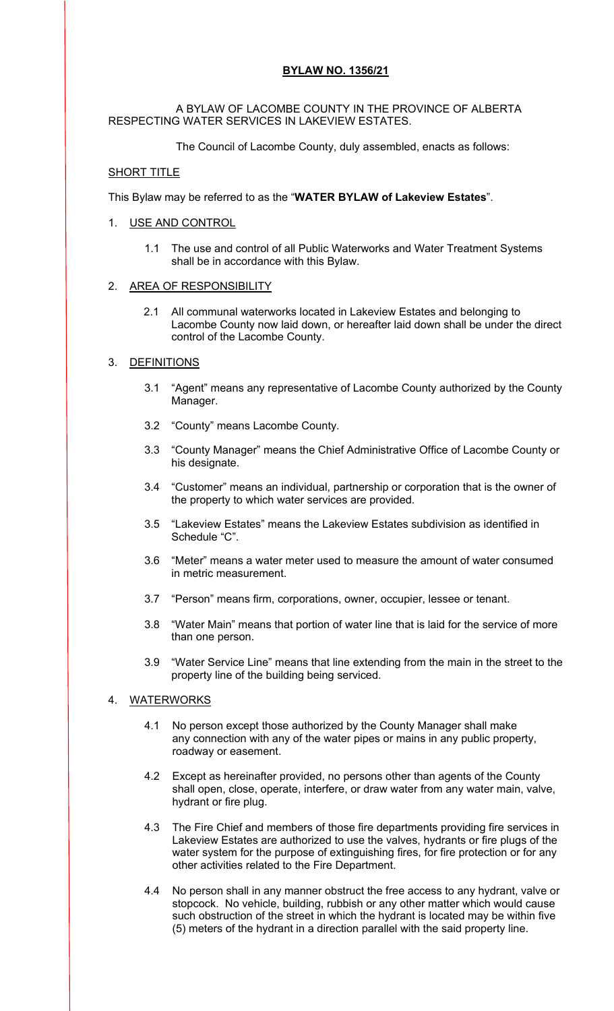# **BYLAW NO. 1356/21**

### A BYLAW OF LACOMBE COUNTY IN THE PROVINCE OF ALBERTA RESPECTING WATER SERVICES IN LAKEVIEW ESTATES.

The Council of Lacombe County, duly assembled, enacts as follows:

# SHORT TITLE

This Bylaw may be referred to as the "**WATER BYLAW of Lakeview Estates**".

# 1. USE AND CONTROL

1.1 The use and control of all Public Waterworks and Water Treatment Systems shall be in accordance with this Bylaw.

### 2. AREA OF RESPONSIBILITY

2.1 All communal waterworks located in Lakeview Estates and belonging to Lacombe County now laid down, or hereafter laid down shall be under the direct control of the Lacombe County.

# 3. DEFINITIONS

- 3.1 "Agent" means any representative of Lacombe County authorized by the County Manager.
- 3.2 "County" means Lacombe County.
- 3.3 "County Manager" means the Chief Administrative Office of Lacombe County or his designate.
- 3.4 "Customer" means an individual, partnership or corporation that is the owner of the property to which water services are provided.
- 3.5 "Lakeview Estates" means the Lakeview Estates subdivision as identified in Schedule "C".
- 3.6 "Meter" means a water meter used to measure the amount of water consumed in metric measurement.
- 3.7 "Person" means firm, corporations, owner, occupier, lessee or tenant.
- 3.8 "Water Main" means that portion of water line that is laid for the service of more than one person.
- 3.9 "Water Service Line" means that line extending from the main in the street to the property line of the building being serviced.

# 4. WATERWORKS

- 4.1 No person except those authorized by the County Manager shall make any connection with any of the water pipes or mains in any public property, roadway or easement.
- 4.2 Except as hereinafter provided, no persons other than agents of the County shall open, close, operate, interfere, or draw water from any water main, valve, hydrant or fire plug.
- 4.3 The Fire Chief and members of those fire departments providing fire services in Lakeview Estates are authorized to use the valves, hydrants or fire plugs of the water system for the purpose of extinguishing fires, for fire protection or for any other activities related to the Fire Department.
- 4.4 No person shall in any manner obstruct the free access to any hydrant, valve or stopcock. No vehicle, building, rubbish or any other matter which would cause such obstruction of the street in which the hydrant is located may be within five (5) meters of the hydrant in a direction parallel with the said property line.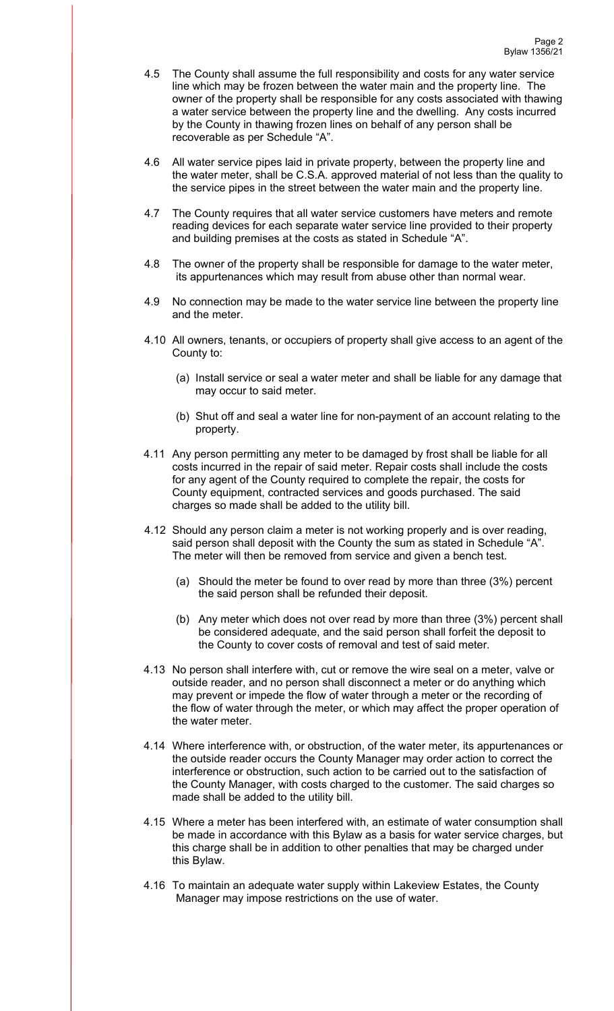- 4.5 The County shall assume the full responsibility and costs for any water service line which may be frozen between the water main and the property line. The owner of the property shall be responsible for any costs associated with thawing a water service between the property line and the dwelling. Any costs incurred by the County in thawing frozen lines on behalf of any person shall be recoverable as per Schedule "A".
- 4.6 All water service pipes laid in private property, between the property line and the water meter, shall be C.S.A. approved material of not less than the quality to the service pipes in the street between the water main and the property line.
- 4.7 The County requires that all water service customers have meters and remote reading devices for each separate water service line provided to their property and building premises at the costs as stated in Schedule "A".
- 4.8 The owner of the property shall be responsible for damage to the water meter, its appurtenances which may result from abuse other than normal wear.
- 4.9 No connection may be made to the water service line between the property line and the meter.
- 4.10 All owners, tenants, or occupiers of property shall give access to an agent of the County to:
	- (a) Install service or seal a water meter and shall be liable for any damage that may occur to said meter.
	- (b) Shut off and seal a water line for non-payment of an account relating to the property.
- 4.11 Any person permitting any meter to be damaged by frost shall be liable for all costs incurred in the repair of said meter. Repair costs shall include the costs for any agent of the County required to complete the repair, the costs for County equipment, contracted services and goods purchased. The said charges so made shall be added to the utility bill.
- 4.12 Should any person claim a meter is not working properly and is over reading, said person shall deposit with the County the sum as stated in Schedule "A". The meter will then be removed from service and given a bench test.
	- (a) Should the meter be found to over read by more than three (3%) percent the said person shall be refunded their deposit.
	- (b) Any meter which does not over read by more than three (3%) percent shall be considered adequate, and the said person shall forfeit the deposit to the County to cover costs of removal and test of said meter.
- 4.13 No person shall interfere with, cut or remove the wire seal on a meter, valve or outside reader, and no person shall disconnect a meter or do anything which may prevent or impede the flow of water through a meter or the recording of the flow of water through the meter, or which may affect the proper operation of the water meter.
- 4.14 Where interference with, or obstruction, of the water meter, its appurtenances or the outside reader occurs the County Manager may order action to correct the interference or obstruction, such action to be carried out to the satisfaction of the County Manager, with costs charged to the customer. The said charges so made shall be added to the utility bill.
- 4.15 Where a meter has been interfered with, an estimate of water consumption shall be made in accordance with this Bylaw as a basis for water service charges, but this charge shall be in addition to other penalties that may be charged under this Bylaw.
- 4.16 To maintain an adequate water supply within Lakeview Estates, the County Manager may impose restrictions on the use of water.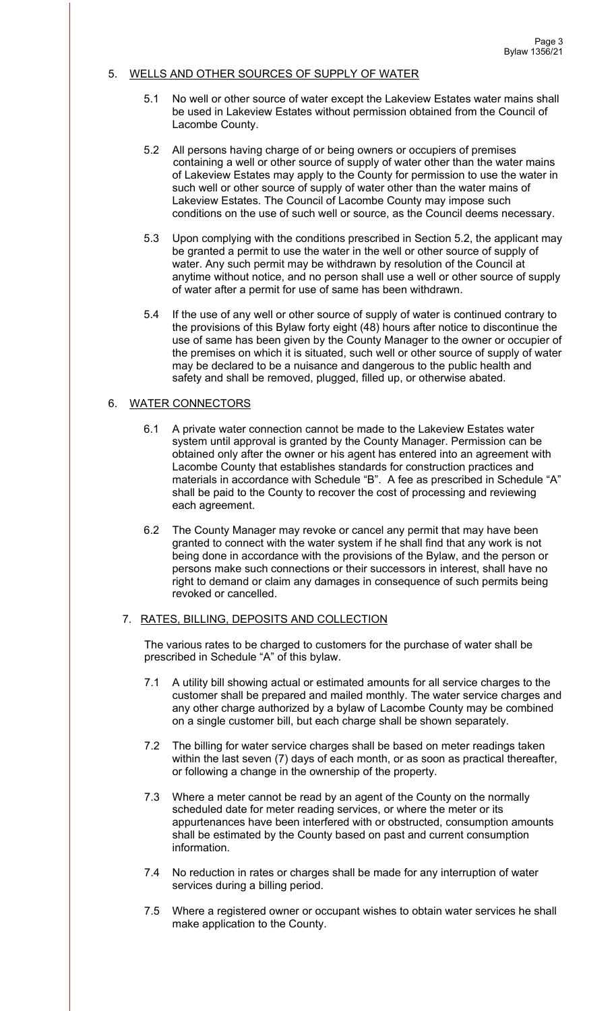### 5. WELLS AND OTHER SOURCES OF SUPPLY OF WATER

- 5.1 No well or other source of water except the Lakeview Estates water mains shall be used in Lakeview Estates without permission obtained from the Council of Lacombe County.
- 5.2 All persons having charge of or being owners or occupiers of premises containing a well or other source of supply of water other than the water mains of Lakeview Estates may apply to the County for permission to use the water in such well or other source of supply of water other than the water mains of Lakeview Estates. The Council of Lacombe County may impose such conditions on the use of such well or source, as the Council deems necessary.
- 5.3 Upon complying with the conditions prescribed in Section 5.2, the applicant may be granted a permit to use the water in the well or other source of supply of water. Any such permit may be withdrawn by resolution of the Council at anytime without notice, and no person shall use a well or other source of supply of water after a permit for use of same has been withdrawn.
- 5.4 If the use of any well or other source of supply of water is continued contrary to the provisions of this Bylaw forty eight (48) hours after notice to discontinue the use of same has been given by the County Manager to the owner or occupier of the premises on which it is situated, such well or other source of supply of water may be declared to be a nuisance and dangerous to the public health and safety and shall be removed, plugged, filled up, or otherwise abated.

#### 6. WATER CONNECTORS

- 6.1 A private water connection cannot be made to the Lakeview Estates water system until approval is granted by the County Manager. Permission can be obtained only after the owner or his agent has entered into an agreement with Lacombe County that establishes standards for construction practices and materials in accordance with Schedule "B". A fee as prescribed in Schedule "A" shall be paid to the County to recover the cost of processing and reviewing each agreement.
- 6.2 The County Manager may revoke or cancel any permit that may have been granted to connect with the water system if he shall find that any work is not being done in accordance with the provisions of the Bylaw, and the person or persons make such connections or their successors in interest, shall have no right to demand or claim any damages in consequence of such permits being revoked or cancelled.

#### 7. RATES, BILLING, DEPOSITS AND COLLECTION

The various rates to be charged to customers for the purchase of water shall be prescribed in Schedule "A" of this bylaw.

- 7.1 A utility bill showing actual or estimated amounts for all service charges to the customer shall be prepared and mailed monthly. The water service charges and any other charge authorized by a bylaw of Lacombe County may be combined on a single customer bill, but each charge shall be shown separately.
- 7.2 The billing for water service charges shall be based on meter readings taken within the last seven (7) days of each month, or as soon as practical thereafter, or following a change in the ownership of the property.
- 7.3 Where a meter cannot be read by an agent of the County on the normally scheduled date for meter reading services, or where the meter or its appurtenances have been interfered with or obstructed, consumption amounts shall be estimated by the County based on past and current consumption information.
- 7.4 No reduction in rates or charges shall be made for any interruption of water services during a billing period.
- 7.5 Where a registered owner or occupant wishes to obtain water services he shall make application to the County.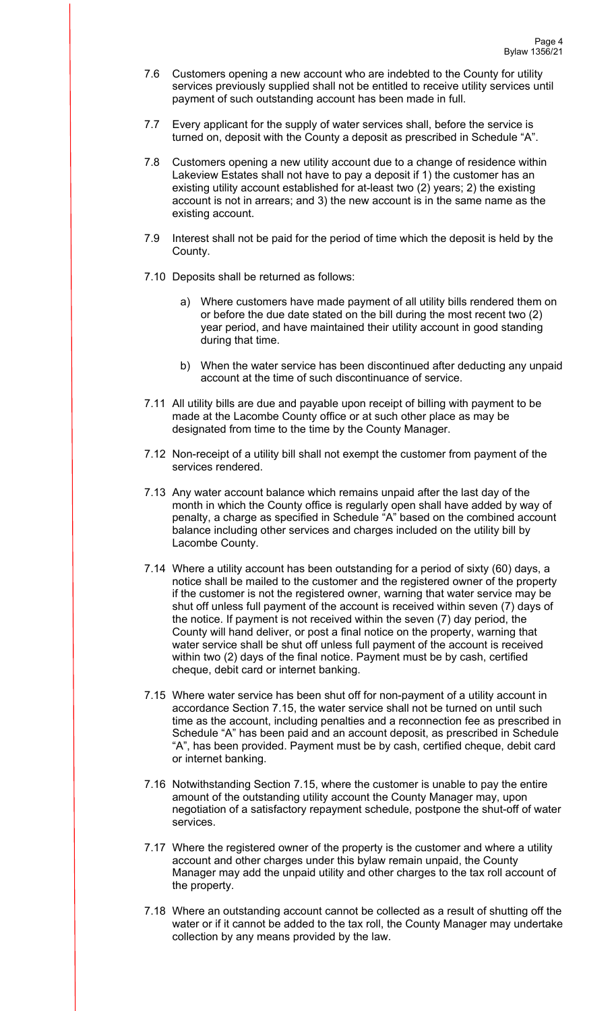- 7.6 Customers opening a new account who are indebted to the County for utility services previously supplied shall not be entitled to receive utility services until payment of such outstanding account has been made in full.
- 7.7 Every applicant for the supply of water services shall, before the service is turned on, deposit with the County a deposit as prescribed in Schedule "A".
- 7.8 Customers opening a new utility account due to a change of residence within Lakeview Estates shall not have to pay a deposit if 1) the customer has an existing utility account established for at-least two (2) years; 2) the existing account is not in arrears; and 3) the new account is in the same name as the existing account.
- 7.9 Interest shall not be paid for the period of time which the deposit is held by the County.
- 7.10 Deposits shall be returned as follows:
	- a) Where customers have made payment of all utility bills rendered them on or before the due date stated on the bill during the most recent two (2) year period, and have maintained their utility account in good standing during that time.
	- b) When the water service has been discontinued after deducting any unpaid account at the time of such discontinuance of service.
- 7.11 All utility bills are due and payable upon receipt of billing with payment to be made at the Lacombe County office or at such other place as may be designated from time to the time by the County Manager.
- 7.12 Non-receipt of a utility bill shall not exempt the customer from payment of the services rendered.
- 7.13 Any water account balance which remains unpaid after the last day of the month in which the County office is regularly open shall have added by way of penalty, a charge as specified in Schedule "A" based on the combined account balance including other services and charges included on the utility bill by Lacombe County.
- 7.14 Where a utility account has been outstanding for a period of sixty (60) days, a notice shall be mailed to the customer and the registered owner of the property if the customer is not the registered owner, warning that water service may be shut off unless full payment of the account is received within seven (7) days of the notice. If payment is not received within the seven (7) day period, the County will hand deliver, or post a final notice on the property, warning that water service shall be shut off unless full payment of the account is received within two (2) days of the final notice. Payment must be by cash, certified cheque, debit card or internet banking.
- 7.15 Where water service has been shut off for non-payment of a utility account in accordance Section 7.15, the water service shall not be turned on until such time as the account, including penalties and a reconnection fee as prescribed in Schedule "A" has been paid and an account deposit, as prescribed in Schedule "A", has been provided. Payment must be by cash, certified cheque, debit card or internet banking.
- 7.16 Notwithstanding Section 7.15, where the customer is unable to pay the entire amount of the outstanding utility account the County Manager may, upon negotiation of a satisfactory repayment schedule, postpone the shut-off of water services.
- 7.17 Where the registered owner of the property is the customer and where a utility account and other charges under this bylaw remain unpaid, the County Manager may add the unpaid utility and other charges to the tax roll account of the property.
- 7.18 Where an outstanding account cannot be collected as a result of shutting off the water or if it cannot be added to the tax roll, the County Manager may undertake collection by any means provided by the law.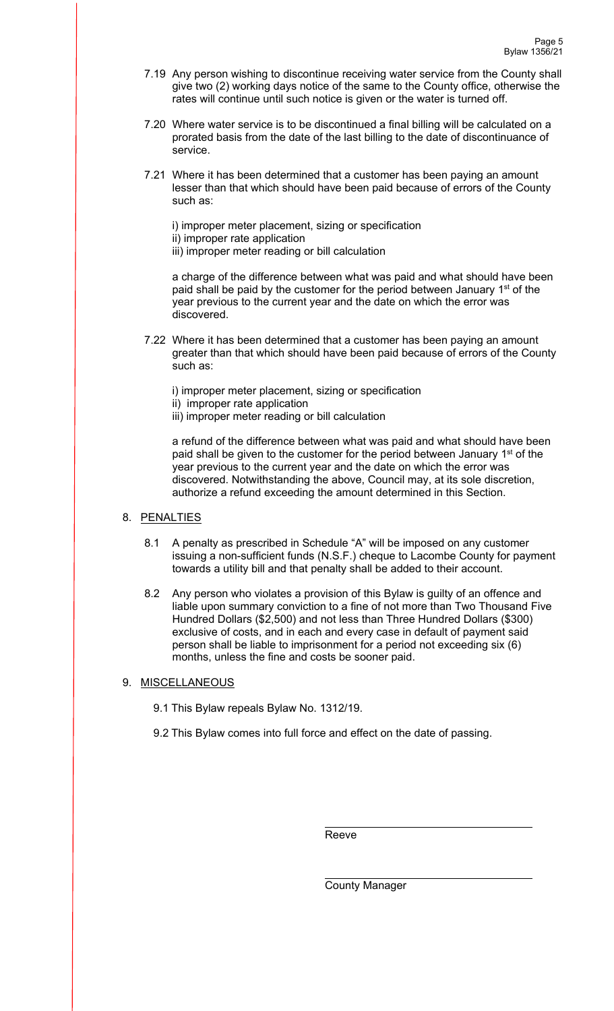- 7.19 Any person wishing to discontinue receiving water service from the County shall give two (2) working days notice of the same to the County office, otherwise the rates will continue until such notice is given or the water is turned off.
- 7.20 Where water service is to be discontinued a final billing will be calculated on a prorated basis from the date of the last billing to the date of discontinuance of service.
- 7.21 Where it has been determined that a customer has been paying an amount lesser than that which should have been paid because of errors of the County such as:

i) improper meter placement, sizing or specification ii) improper rate application iii) improper meter reading or bill calculation

a charge of the difference between what was paid and what should have been paid shall be paid by the customer for the period between January 1<sup>st</sup> of the year previous to the current year and the date on which the error was discovered.

7.22 Where it has been determined that a customer has been paying an amount greater than that which should have been paid because of errors of the County such as:

i) improper meter placement, sizing or specification

ii) improper rate application

iii) improper meter reading or bill calculation

a refund of the difference between what was paid and what should have been paid shall be given to the customer for the period between January 1<sup>st</sup> of the year previous to the current year and the date on which the error was discovered. Notwithstanding the above, Council may, at its sole discretion, authorize a refund exceeding the amount determined in this Section.

### 8. PENALTIES

- 8.1 A penalty as prescribed in Schedule "A" will be imposed on any customer issuing a non-sufficient funds (N.S.F.) cheque to Lacombe County for payment towards a utility bill and that penalty shall be added to their account.
- 8.2 Any person who violates a provision of this Bylaw is guilty of an offence and liable upon summary conviction to a fine of not more than Two Thousand Five Hundred Dollars (\$2,500) and not less than Three Hundred Dollars (\$300) exclusive of costs, and in each and every case in default of payment said person shall be liable to imprisonment for a period not exceeding six (6) months, unless the fine and costs be sooner paid.

### 9. MISCELLANEOUS

9.1 This Bylaw repeals Bylaw No. 1312/19.

9.2 This Bylaw comes into full force and effect on the date of passing.

**Reeve** Reeve

County Manager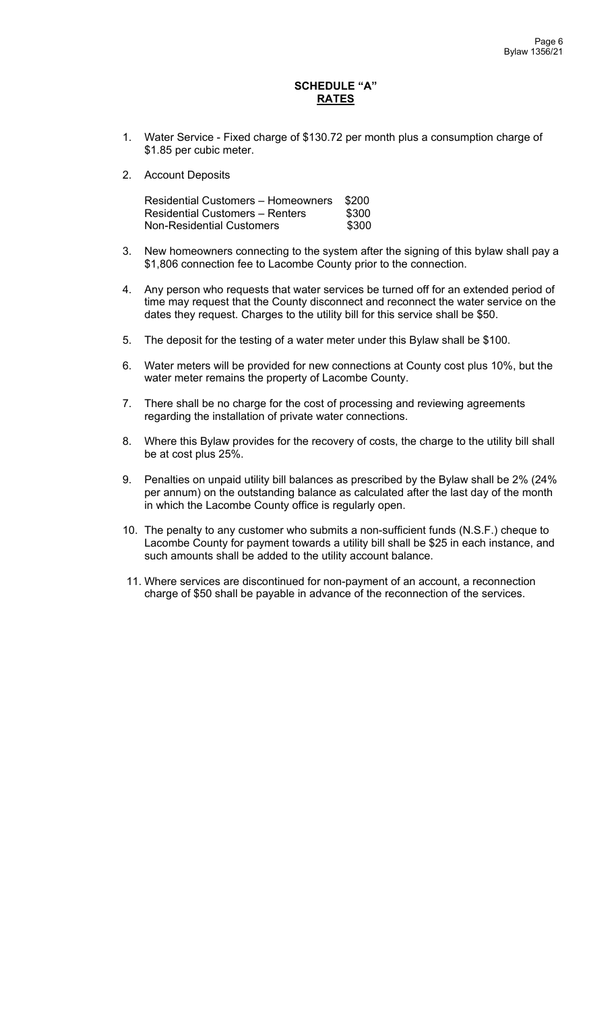### **SCHEDULE "A" RATES**

- 1. Water Service Fixed charge of \$130.72 per month plus a consumption charge of \$1.85 per cubic meter.
- 2. Account Deposits

| <b>Residential Customers - Homeowners</b> | \$200 |
|-------------------------------------------|-------|
| <b>Residential Customers – Renters</b>    | \$300 |
| <b>Non-Residential Customers</b>          | \$300 |

- 3. New homeowners connecting to the system after the signing of this bylaw shall pay a \$1,806 connection fee to Lacombe County prior to the connection.
- 4. Any person who requests that water services be turned off for an extended period of time may request that the County disconnect and reconnect the water service on the dates they request. Charges to the utility bill for this service shall be \$50.
- 5. The deposit for the testing of a water meter under this Bylaw shall be \$100.
- 6. Water meters will be provided for new connections at County cost plus 10%, but the water meter remains the property of Lacombe County.
- 7. There shall be no charge for the cost of processing and reviewing agreements regarding the installation of private water connections.
- 8. Where this Bylaw provides for the recovery of costs, the charge to the utility bill shall be at cost plus 25%.
- 9. Penalties on unpaid utility bill balances as prescribed by the Bylaw shall be 2% (24% per annum) on the outstanding balance as calculated after the last day of the month in which the Lacombe County office is regularly open.
- 10. The penalty to any customer who submits a non-sufficient funds (N.S.F.) cheque to Lacombe County for payment towards a utility bill shall be \$25 in each instance, and such amounts shall be added to the utility account balance.
- 11. Where services are discontinued for non-payment of an account, a reconnection charge of \$50 shall be payable in advance of the reconnection of the services.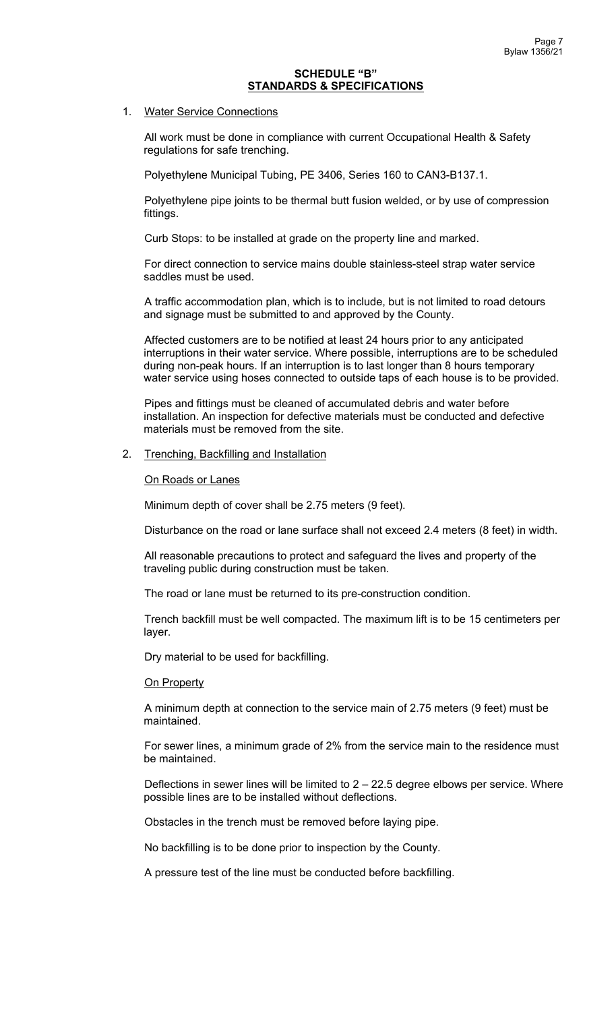#### **SCHEDULE "B" STANDARDS & SPECIFICATIONS**

#### 1. Water Service Connections

All work must be done in compliance with current Occupational Health & Safety regulations for safe trenching.

Polyethylene Municipal Tubing, PE 3406, Series 160 to CAN3-B137.1.

Polyethylene pipe joints to be thermal butt fusion welded, or by use of compression fittings.

Curb Stops: to be installed at grade on the property line and marked.

For direct connection to service mains double stainless-steel strap water service saddles must be used.

A traffic accommodation plan, which is to include, but is not limited to road detours and signage must be submitted to and approved by the County.

Affected customers are to be notified at least 24 hours prior to any anticipated interruptions in their water service. Where possible, interruptions are to be scheduled during non-peak hours. If an interruption is to last longer than 8 hours temporary water service using hoses connected to outside taps of each house is to be provided.

Pipes and fittings must be cleaned of accumulated debris and water before installation. An inspection for defective materials must be conducted and defective materials must be removed from the site.

#### 2. Trenching, Backfilling and Installation

On Roads or Lanes

Minimum depth of cover shall be 2.75 meters (9 feet).

Disturbance on the road or lane surface shall not exceed 2.4 meters (8 feet) in width.

All reasonable precautions to protect and safeguard the lives and property of the traveling public during construction must be taken.

The road or lane must be returned to its pre-construction condition.

Trench backfill must be well compacted. The maximum lift is to be 15 centimeters per layer.

Dry material to be used for backfilling.

#### **On Property**

A minimum depth at connection to the service main of 2.75 meters (9 feet) must be maintained.

For sewer lines, a minimum grade of 2% from the service main to the residence must be maintained.

Deflections in sewer lines will be limited to  $2 - 22.5$  degree elbows per service. Where possible lines are to be installed without deflections.

Obstacles in the trench must be removed before laying pipe.

No backfilling is to be done prior to inspection by the County.

A pressure test of the line must be conducted before backfilling.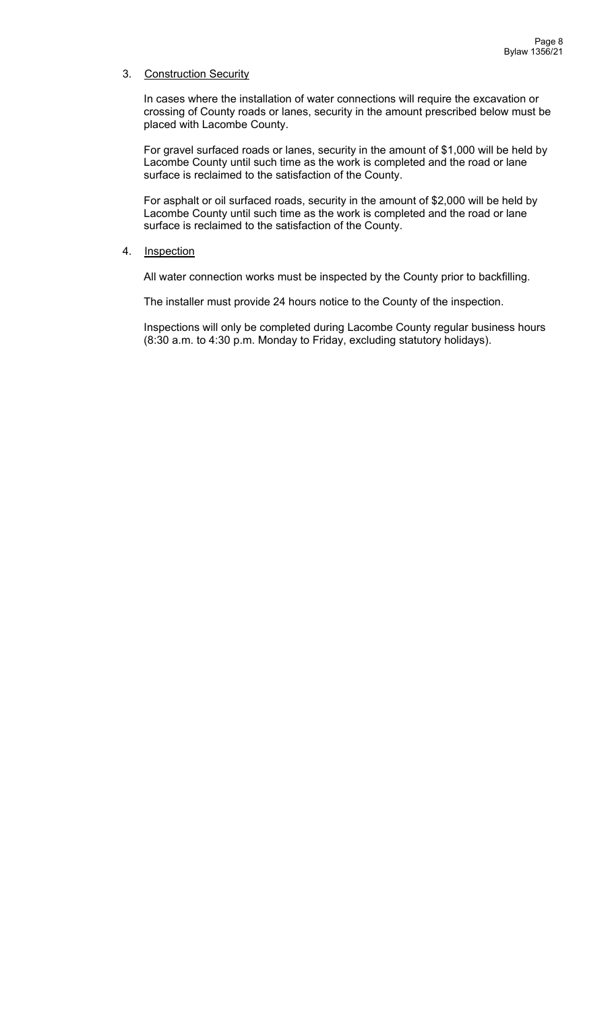### 3. Construction Security

In cases where the installation of water connections will require the excavation or crossing of County roads or lanes, security in the amount prescribed below must be placed with Lacombe County.

For gravel surfaced roads or lanes, security in the amount of \$1,000 will be held by Lacombe County until such time as the work is completed and the road or lane surface is reclaimed to the satisfaction of the County.

For asphalt or oil surfaced roads, security in the amount of \$2,000 will be held by Lacombe County until such time as the work is completed and the road or lane surface is reclaimed to the satisfaction of the County.

### 4. Inspection

All water connection works must be inspected by the County prior to backfilling.

The installer must provide 24 hours notice to the County of the inspection.

Inspections will only be completed during Lacombe County regular business hours (8:30 a.m. to 4:30 p.m. Monday to Friday, excluding statutory holidays).